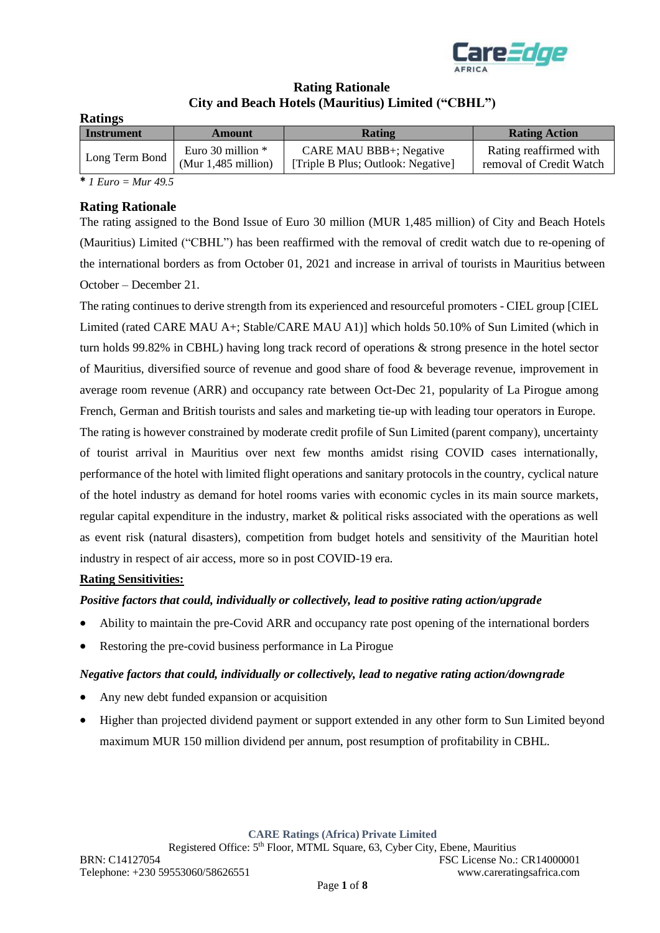

# **Rating Rationale City and Beach Hotels (Mauritius) Limited ("CBHL")**

| <b>Ratings</b>    |                                              |                                                                      |                                                   |  |  |  |  |  |  |
|-------------------|----------------------------------------------|----------------------------------------------------------------------|---------------------------------------------------|--|--|--|--|--|--|
| <b>Instrument</b> | Amount                                       | Rating                                                               | <b>Rating Action</b>                              |  |  |  |  |  |  |
| Long Term Bond    | Euro 30 million $*$<br>(Mur $1,485$ million) | <b>CARE MAU BBB+; Negative</b><br>[Triple B Plus; Outlook: Negative] | Rating reaffirmed with<br>removal of Credit Watch |  |  |  |  |  |  |

**\*** *1 Euro = Mur 49.5*

# **Rating Rationale**

The rating assigned to the Bond Issue of Euro 30 million (MUR 1,485 million) of City and Beach Hotels (Mauritius) Limited ("CBHL") has been reaffirmed with the removal of credit watch due to re-opening of the international borders as from October 01, 2021 and increase in arrival of tourists in Mauritius between October – December 21.

The rating continues to derive strength from its experienced and resourceful promoters - CIEL group [CIEL Limited (rated CARE MAU A+; Stable/CARE MAU A1)] which holds 50.10% of Sun Limited (which in turn holds 99.82% in CBHL) having long track record of operations & strong presence in the hotel sector of Mauritius, diversified source of revenue and good share of food & beverage revenue, improvement in average room revenue (ARR) and occupancy rate between Oct-Dec 21, popularity of La Pirogue among French, German and British tourists and sales and marketing tie-up with leading tour operators in Europe. The rating is however constrained by moderate credit profile of Sun Limited (parent company), uncertainty of tourist arrival in Mauritius over next few months amidst rising COVID cases internationally, performance of the hotel with limited flight operations and sanitary protocols in the country, cyclical nature of the hotel industry as demand for hotel rooms varies with economic cycles in its main source markets, regular capital expenditure in the industry, market & political risks associated with the operations as well as event risk (natural disasters), competition from budget hotels and sensitivity of the Mauritian hotel industry in respect of air access, more so in post COVID-19 era.

# **Rating Sensitivities:**

# *Positive factors that could, individually or collectively, lead to positive rating action/upgrade*

- Ability to maintain the pre-Covid ARR and occupancy rate post opening of the international borders
- Restoring the pre-covid business performance in La Pirogue

# *Negative factors that could, individually or collectively, lead to negative rating action/downgrade*

- Any new debt funded expansion or acquisition
- Higher than projected dividend payment or support extended in any other form to Sun Limited beyond maximum MUR 150 million dividend per annum, post resumption of profitability in CBHL.

**CARE Ratings (Africa) Private Limited**

Registered Office: 5th Floor, MTML Square, 63, Cyber City, Ebene, Mauritius BRN: C14127054 FSC License No.: CR14000001 Telephone: +230 59553060/58626551 www.careratingsafrica.com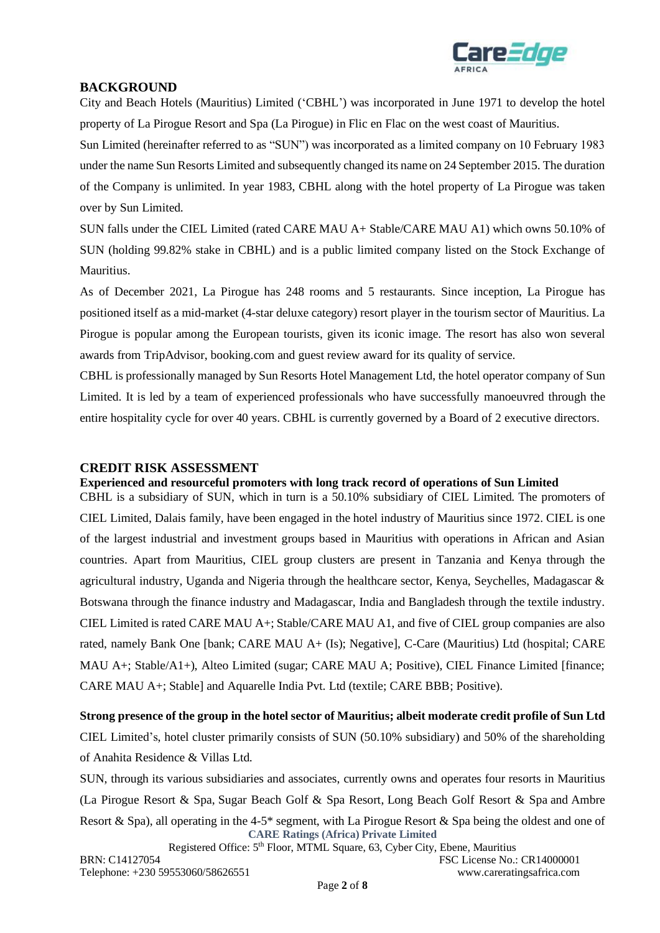

# **BACKGROUND**

City and Beach Hotels (Mauritius) Limited ('CBHL') was incorporated in June 1971 to develop the hotel property of La Pirogue Resort and Spa (La Pirogue) in Flic en Flac on the west coast of Mauritius.

Sun Limited (hereinafter referred to as "SUN") was incorporated as a limited company on 10 February 1983 under the name Sun Resorts Limited and subsequently changed its name on 24 September 2015. The duration of the Company is unlimited. In year 1983, CBHL along with the hotel property of La Pirogue was taken over by Sun Limited.

SUN falls under the CIEL Limited (rated CARE MAU A+ Stable/CARE MAU A1) which owns 50.10% of SUN (holding 99.82% stake in CBHL) and is a public limited company listed on the Stock Exchange of Mauritius.

As of December 2021, La Pirogue has 248 rooms and 5 restaurants. Since inception, La Pirogue has positioned itself as a mid-market (4-star deluxe category) resort player in the tourism sector of Mauritius. La Pirogue is popular among the European tourists, given its iconic image. The resort has also won several awards from TripAdvisor, booking.com and guest review award for its quality of service.

CBHL is professionally managed by Sun Resorts Hotel Management Ltd, the hotel operator company of Sun Limited. It is led by a team of experienced professionals who have successfully manoeuvred through the entire hospitality cycle for over 40 years. CBHL is currently governed by a Board of 2 executive directors.

# **CREDIT RISK ASSESSMENT**

### **Experienced and resourceful promoters with long track record of operations of Sun Limited**

CBHL is a subsidiary of SUN, which in turn is a 50.10% subsidiary of CIEL Limited. The promoters of CIEL Limited, Dalais family, have been engaged in the hotel industry of Mauritius since 1972. CIEL is one of the largest industrial and investment groups based in Mauritius with operations in African and Asian countries. Apart from Mauritius, CIEL group clusters are present in Tanzania and Kenya through the agricultural industry, Uganda and Nigeria through the healthcare sector, Kenya, Seychelles, Madagascar & Botswana through the finance industry and Madagascar, India and Bangladesh through the textile industry. CIEL Limited is rated CARE MAU A+; Stable/CARE MAU A1, and five of CIEL group companies are also rated, namely Bank One [bank; CARE MAU A+ (Is); Negative], C-Care (Mauritius) Ltd (hospital; CARE MAU A+; Stable/A1+), Alteo Limited (sugar; CARE MAU A; Positive), CIEL Finance Limited [finance; CARE MAU A+; Stable] and Aquarelle India Pvt. Ltd (textile; CARE BBB; Positive).

**Strong presence of the group in the hotel sector of Mauritius; albeit moderate credit profile of Sun Ltd** CIEL Limited's, hotel cluster primarily consists of SUN (50.10% subsidiary) and 50% of the shareholding of Anahita Residence & Villas Ltd.

**CARE Ratings (Africa) Private Limited** SUN, through its various subsidiaries and associates, currently owns and operates four resorts in Mauritius [\(La Pirogue Resort & Spa,](http://www.lapirogue.com/en/) [Sugar Beach Golf & Spa Resort,](http://www.sugarbeachresort.com/en) [Long Beach Golf Resort & Spa](http://www.longbeachmauritius.com/en/) and [Ambre](http://www.ambremauritius.com/en/)  [Resort & Spa\)](http://www.ambremauritius.com/en/), all operating in the 4-5\* segment, with [La Pirogue Resort & Spa](http://www.lapirogue.com/en/) being the oldest and one of

Registered Office: 5th Floor, MTML Square, 63, Cyber City, Ebene, Mauritius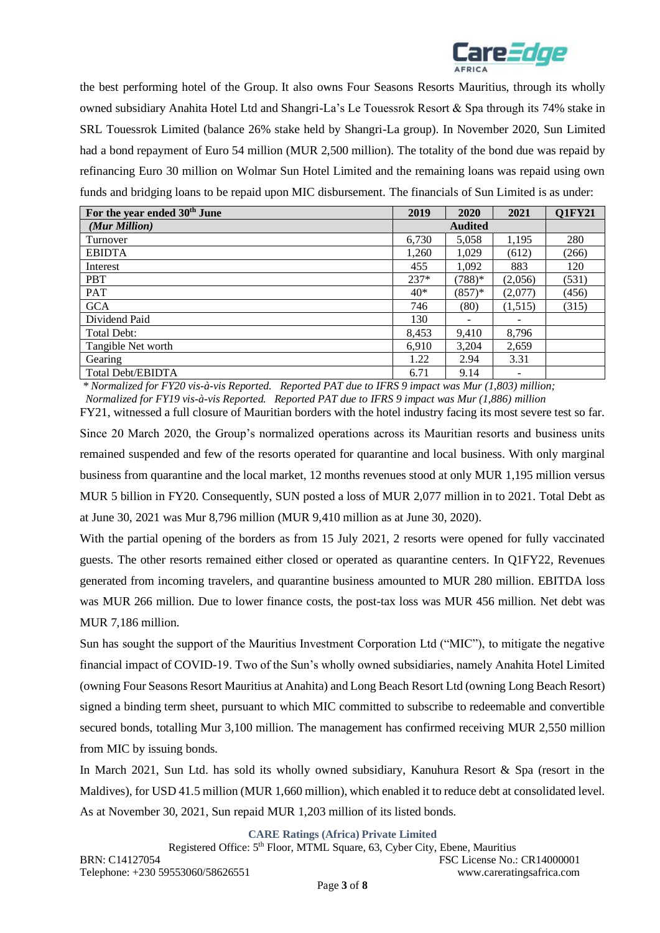

the best performing hotel of the Group. It also owns Four Seasons Resorts Mauritius, through its wholly owned subsidiary Anahita Hotel Ltd and Shangri-La's Le Touessrok Resort & Spa through its 74% stake in SRL Touessrok Limited (balance 26% stake held by Shangri-La group). In November 2020, Sun Limited had a bond repayment of Euro 54 million (MUR 2,500 million). The totality of the bond due was repaid by refinancing Euro 30 million on Wolmar Sun Hotel Limited and the remaining loans was repaid using own funds and bridging loans to be repaid upon MIC disbursement. The financials of Sun Limited is as under:

| For the year ended 30 <sup>th</sup> June | 2019   | 2020     | 2021                     | <b>Q1FY21</b> |
|------------------------------------------|--------|----------|--------------------------|---------------|
| (Mur Million)                            |        |          |                          |               |
| Turnover                                 | 6,730  | 5,058    | 1,195                    | 280           |
| <b>EBIDTA</b>                            | 1.260  | 1,029    | (612)                    | (266)         |
| Interest                                 | 455    | 1,092    | 883                      | 120           |
| <b>PBT</b>                               | $237*$ | $(788)*$ | (2,056)                  | (531)         |
| PAT                                      | $40*$  | $(857)*$ | (2,077)                  | (456)         |
| <b>GCA</b>                               | 746    | (80)     | (1,515)                  | (315)         |
| Dividend Paid                            | 130    |          |                          |               |
| Total Debt:                              | 8,453  | 9,410    | 8,796                    |               |
| Tangible Net worth                       | 6,910  | 3,204    | 2,659                    |               |
| Gearing                                  | 1.22   | 2.94     | 3.31                     |               |
| <b>Total Debt/EBIDTA</b>                 | 6.71   | 9.14     | $\overline{\phantom{a}}$ |               |

*\* Normalized for FY20 vis-à-vis Reported. Reported PAT due to IFRS 9 impact was Mur (1,803) million; Normalized for FY19 vis-à-vis Reported. Reported PAT due to IFRS 9 impact was Mur (1,886) million* 

FY21, witnessed a full closure of Mauritian borders with the hotel industry facing its most severe test so far. Since 20 March 2020, the Group's normalized operations across its Mauritian resorts and business units remained suspended and few of the resorts operated for quarantine and local business. With only marginal business from quarantine and the local market, 12 months revenues stood at only MUR 1,195 million versus MUR 5 billion in FY20. Consequently, SUN posted a loss of MUR 2,077 million in to 2021. Total Debt as at June 30, 2021 was Mur 8,796 million (MUR 9,410 million as at June 30, 2020).

With the partial opening of the borders as from 15 July 2021, 2 resorts were opened for fully vaccinated guests. The other resorts remained either closed or operated as quarantine centers. In Q1FY22, Revenues generated from incoming travelers, and quarantine business amounted to MUR 280 million. EBITDA loss was MUR 266 million. Due to lower finance costs, the post-tax loss was MUR 456 million. Net debt was MUR 7,186 million.

Sun has sought the support of the Mauritius Investment Corporation Ltd ("MIC"), to mitigate the negative financial impact of COVID-19. Two of the Sun's wholly owned subsidiaries, namely Anahita Hotel Limited (owning Four Seasons Resort Mauritius at Anahita) and Long Beach Resort Ltd (owning Long Beach Resort) signed a binding term sheet, pursuant to which MIC committed to subscribe to redeemable and convertible secured bonds, totalling Mur 3,100 million. The management has confirmed receiving MUR 2,550 million from MIC by issuing bonds.

In March 2021, Sun Ltd. has sold its wholly owned subsidiary, Kanuhura Resort & Spa (resort in the Maldives), for USD 41.5 million (MUR 1,660 million), which enabled it to reduce debt at consolidated level. As at November 30, 2021, Sun repaid MUR 1,203 million of its listed bonds.

**CARE Ratings (Africa) Private Limited**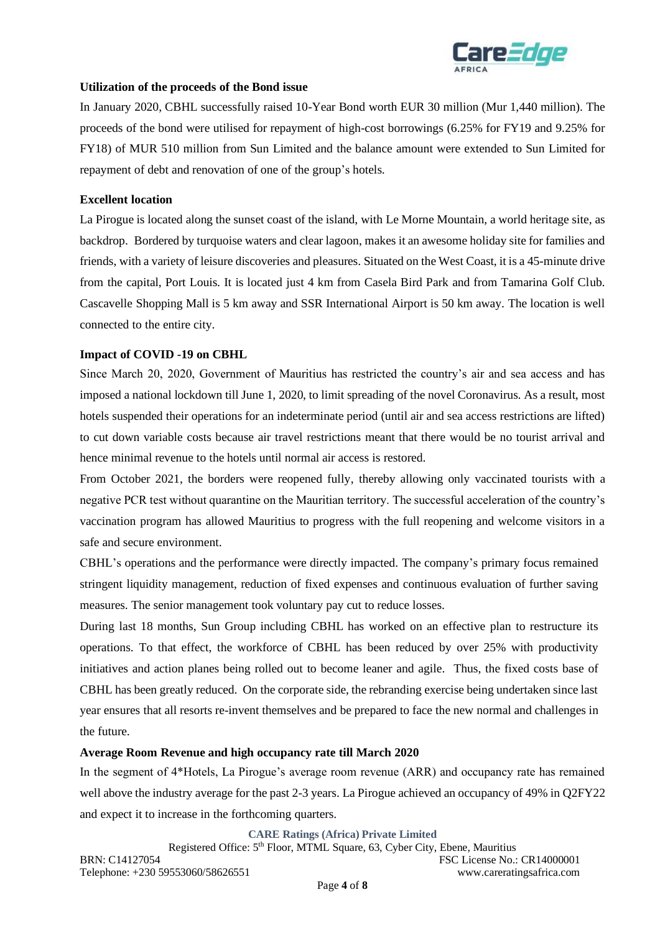

### **Utilization of the proceeds of the Bond issue**

In January 2020, CBHL successfully raised 10-Year Bond worth EUR 30 million (Mur 1,440 million). The proceeds of the bond were utilised for repayment of high-cost borrowings (6.25% for FY19 and 9.25% for FY18) of MUR 510 million from Sun Limited and the balance amount were extended to Sun Limited for repayment of debt and renovation of one of the group's hotels.

### **Excellent location**

La Pirogue is located along the sunset coast of the island, with Le Morne Mountain, a world heritage site, as backdrop. Bordered by turquoise waters and clear lagoon, makes it an awesome holiday site for families and friends, with a variety of leisure discoveries and pleasures. Situated on the West Coast, it is a 45-minute drive from the capital, Port Louis. It is located just 4 km from Casela Bird Park and from Tamarina Golf Club. Cascavelle Shopping Mall is 5 km away and SSR International Airport is 50 km away. The location is well connected to the entire city.

### **Impact of COVID -19 on CBHL**

Since March 20, 2020, Government of Mauritius has restricted the country's air and sea access and has imposed a national lockdown till June 1, 2020, to limit spreading of the novel Coronavirus. As a result, most hotels suspended their operations for an indeterminate period (until air and sea access restrictions are lifted) to cut down variable costs because air travel restrictions meant that there would be no tourist arrival and hence minimal revenue to the hotels until normal air access is restored.

From October 2021, the borders were reopened fully, thereby allowing only vaccinated tourists with a negative PCR test without quarantine on the Mauritian territory. The successful acceleration of the country's vaccination program has allowed Mauritius to progress with the full reopening and welcome visitors in a safe and secure environment.

CBHL's operations and the performance were directly impacted. The company's primary focus remained stringent liquidity management, reduction of fixed expenses and continuous evaluation of further saving measures. The senior management took voluntary pay cut to reduce losses.

During last 18 months, Sun Group including CBHL has worked on an effective plan to restructure its operations. To that effect, the workforce of CBHL has been reduced by over 25% with productivity initiatives and action planes being rolled out to become leaner and agile. Thus, the fixed costs base of CBHL has been greatly reduced. On the corporate side, the rebranding exercise being undertaken since last year ensures that all resorts re-invent themselves and be prepared to face the new normal and challenges in the future.

### **Average Room Revenue and high occupancy rate till March 2020**

In the segment of 4\*Hotels, La Pirogue's average room revenue (ARR) and occupancy rate has remained well above the industry average for the past 2-3 years. La Pirogue achieved an occupancy of 49% in Q2FY22 and expect it to increase in the forthcoming quarters.

**CARE Ratings (Africa) Private Limited**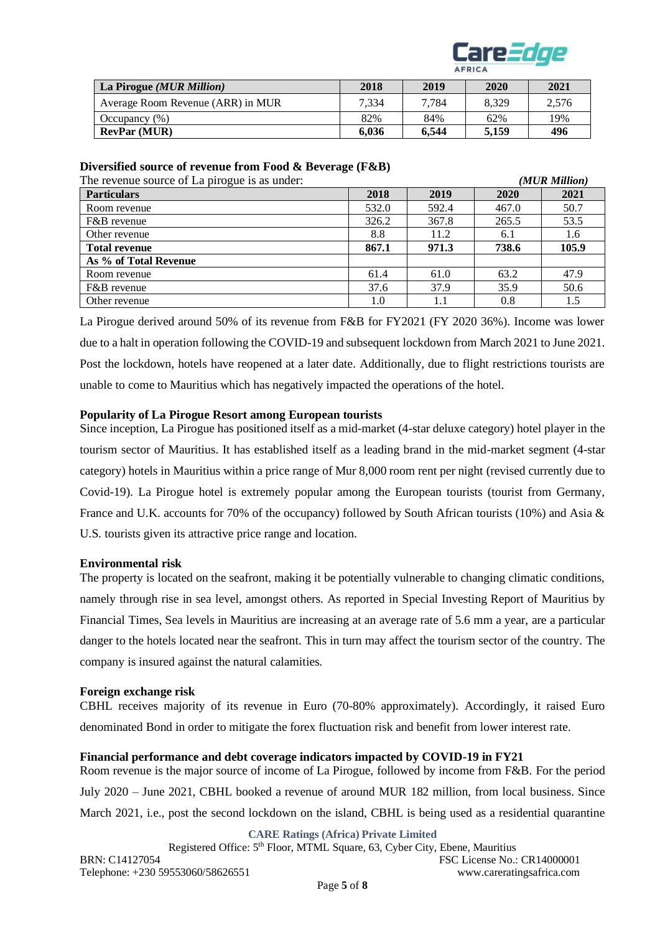

| La Pirogue (MUR Million)          | 2018  | 2019  | 2020  | 2021  |
|-----------------------------------|-------|-------|-------|-------|
| Average Room Revenue (ARR) in MUR | 7.334 | 7.784 | 8.329 | 2.576 |
| Occupancy $(\% )$                 | 82%   | 84%   | 62%   | 19%   |
| <b>RevPar (MUR)</b>               | 6.036 | 6.544 | 5.159 | 496   |

### **Diversified source of revenue from Food & Beverage (F&B)**

The revenue source of La pirogue is as under: *(MUR Million)* 

|       |       |       | (171 U.I. 171 WWW 10 ) |
|-------|-------|-------|------------------------|
| 2018  | 2019  | 2020  | 2021                   |
| 532.0 | 592.4 | 467.0 | 50.7                   |
| 326.2 | 367.8 | 265.5 | 53.5                   |
| 8.8   | 11.2  | 6.1   | 1.6                    |
| 867.1 | 971.3 | 738.6 | 105.9                  |
|       |       |       |                        |
| 61.4  | 61.0  | 63.2  | 47.9                   |
| 37.6  | 37.9  | 35.9  | 50.6                   |
| 1.0   | 1.1   | 0.8   | 1.5                    |
|       |       |       |                        |

La Pirogue derived around 50% of its revenue from F&B for FY2021 (FY 2020 36%). Income was lower due to a halt in operation following the COVID-19 and subsequent lockdown from March 2021 to June 2021. Post the lockdown, hotels have reopened at a later date. Additionally, due to flight restrictions tourists are unable to come to Mauritius which has negatively impacted the operations of the hotel.

### **Popularity of La Pirogue Resort among European tourists**

Since inception, La Pirogue has positioned itself as a mid-market (4-star deluxe category) hotel player in the tourism sector of Mauritius. It has established itself as a leading brand in the mid-market segment (4-star category) hotels in Mauritius within a price range of Mur 8,000 room rent per night (revised currently due to Covid-19). La Pirogue hotel is extremely popular among the European tourists (tourist from Germany, France and U.K. accounts for 70% of the occupancy) followed by South African tourists (10%) and Asia & U.S. tourists given its attractive price range and location.

### **Environmental risk**

The property is located on the seafront, making it be potentially vulnerable to changing climatic conditions, namely through rise in sea level, amongst others. As reported in Special Investing Report of Mauritius by Financial Times, Sea levels in Mauritius are increasing at an average rate of 5.6 mm a year, are a particular danger to the hotels located near the seafront. This in turn may affect the tourism sector of the country. The company is insured against the natural calamities.

### **Foreign exchange risk**

CBHL receives majority of its revenue in Euro (70-80% approximately). Accordingly, it raised Euro denominated Bond in order to mitigate the forex fluctuation risk and benefit from lower interest rate.

### **Financial performance and debt coverage indicators impacted by COVID-19 in FY21**

Room revenue is the major source of income of La Pirogue, followed by income from F&B. For the period July 2020 – June 2021, CBHL booked a revenue of around MUR 182 million, from local business. Since March 2021, i.e., post the second lockdown on the island, CBHL is being used as a residential quarantine

**CARE Ratings (Africa) Private Limited**

Registered Office: 5th Floor, MTML Square, 63, Cyber City, Ebene, Mauritius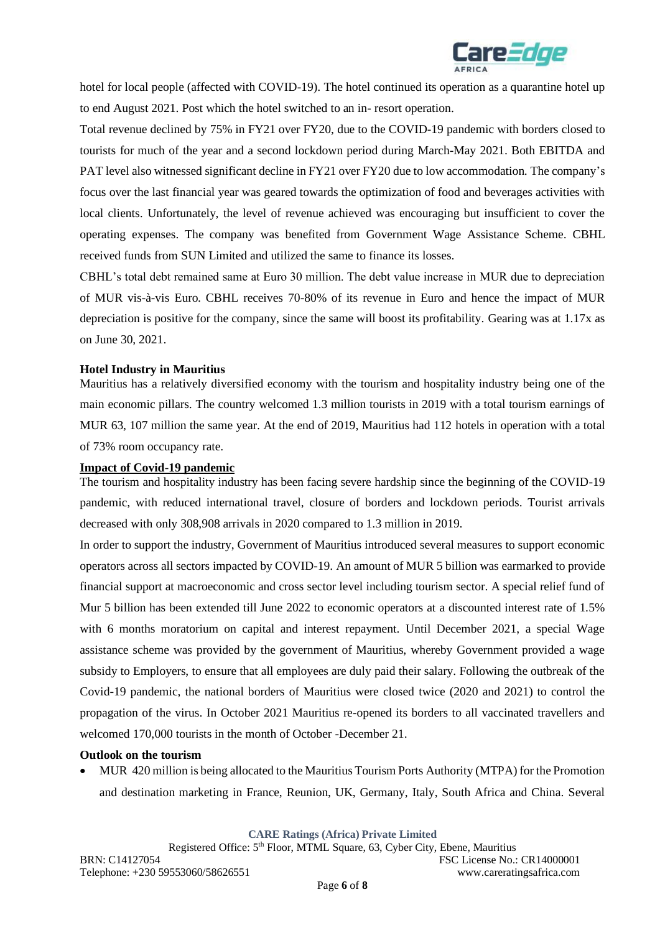

hotel for local people (affected with COVID-19). The hotel continued its operation as a quarantine hotel up to end August 2021. Post which the hotel switched to an in- resort operation.

Total revenue declined by 75% in FY21 over FY20, due to the COVID-19 pandemic with borders closed to tourists for much of the year and a second lockdown period during March-May 2021. Both EBITDA and PAT level also witnessed significant decline in FY21 over FY20 due to low accommodation. The company's focus over the last financial year was geared towards the optimization of food and beverages activities with local clients. Unfortunately, the level of revenue achieved was encouraging but insufficient to cover the operating expenses. The company was benefited from Government Wage Assistance Scheme. CBHL received funds from SUN Limited and utilized the same to finance its losses.

CBHL's total debt remained same at Euro 30 million. The debt value increase in MUR due to depreciation of MUR vis-à-vis Euro. CBHL receives 70-80% of its revenue in Euro and hence the impact of MUR depreciation is positive for the company, since the same will boost its profitability. Gearing was at 1.17x as on June 30, 2021.

### **Hotel Industry in Mauritius**

Mauritius has a relatively diversified economy with the tourism and hospitality industry being one of the main economic pillars. The country welcomed 1.3 million tourists in 2019 with a total tourism earnings of MUR 63, 107 million the same year. At the end of 2019, Mauritius had 112 hotels in operation with a total of 73% room occupancy rate.

#### **Impact of Covid-19 pandemic**

The tourism and hospitality industry has been facing severe hardship since the beginning of the COVID-19 pandemic, with reduced international travel, closure of borders and lockdown periods. Tourist arrivals decreased with only 308,908 arrivals in 2020 compared to 1.3 million in 2019.

In order to support the industry, Government of Mauritius introduced several measures to support economic operators across all sectors impacted by COVID-19. An amount of MUR 5 billion was earmarked to provide financial support at macroeconomic and cross sector level including tourism sector. A special relief fund of Mur 5 billion has been extended till June 2022 to economic operators at a discounted interest rate of 1.5% with 6 months moratorium on capital and interest repayment. Until December 2021, a special Wage assistance scheme was provided by the government of Mauritius, whereby Government provided a wage subsidy to Employers, to ensure that all employees are duly paid their salary. Following the outbreak of the Covid-19 pandemic, the national borders of Mauritius were closed twice (2020 and 2021) to control the propagation of the virus. In October 2021 Mauritius re-opened its borders to all vaccinated travellers and welcomed 170,000 tourists in the month of October -December 21.

### **Outlook on the tourism**

• MUR 420 million is being allocated to the Mauritius Tourism Ports Authority (MTPA) for the Promotion and destination marketing in France, Reunion, UK, Germany, Italy, South Africa and China*.* Several

**CARE Ratings (Africa) Private Limited**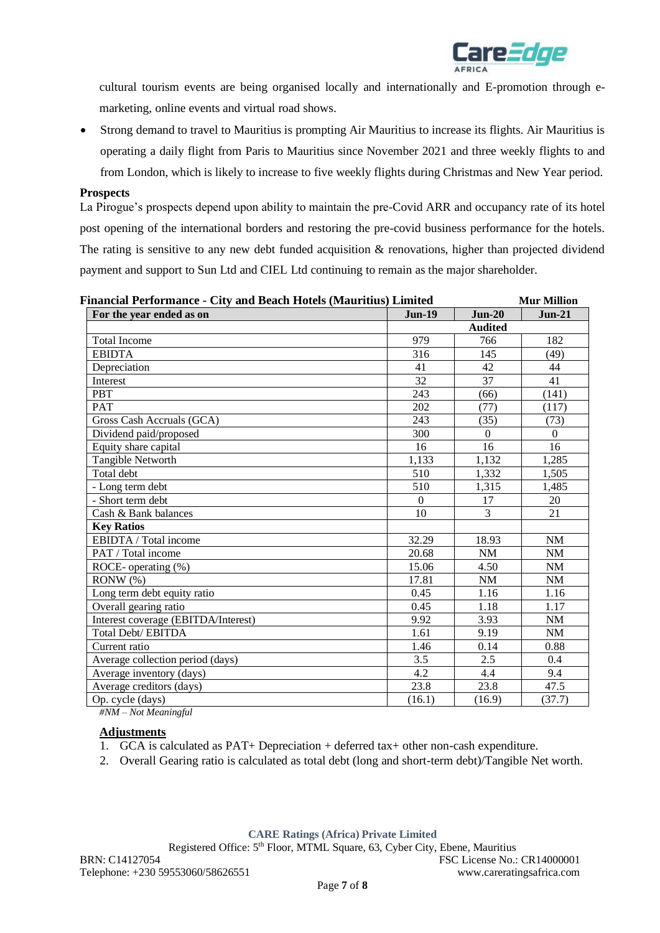

cultural tourism events are being organised locally and internationally and E-promotion through emarketing, online events and virtual road shows.

• Strong demand to travel to Mauritius is prompting Air Mauritius to increase its flights. Air Mauritius is operating a daily flight from Paris to Mauritius since November 2021 and three weekly flights to and from London, which is likely to increase to five weekly flights during Christmas and New Year period.

#### **Prospects**

La Pirogue's prospects depend upon ability to maintain the pre-Covid ARR and occupancy rate of its hotel post opening of the international borders and restoring the pre-covid business performance for the hotels. The rating is sensitive to any new debt funded acquisition  $\&$  renovations, higher than projected dividend payment and support to Sun Ltd and CIEL Ltd continuing to remain as the major shareholder.

| Financial Performance - City and Beach Hotels (Mauritius) Limited |                 |                 |           |  |
|-------------------------------------------------------------------|-----------------|-----------------|-----------|--|
| For the year ended as on                                          | <b>Jun-19</b>   | $Jun-20$        | $Jun-21$  |  |
|                                                                   |                 | <b>Audited</b>  |           |  |
| <b>Total Income</b>                                               | 979             | 766             | 182       |  |
| <b>EBIDTA</b>                                                     | 316             | 145             | (49)      |  |
| Depreciation                                                      | 41              | 42              | 44        |  |
| Interest                                                          | $\overline{32}$ | $\overline{37}$ | 41        |  |
| <b>PBT</b>                                                        | 243             | (66)            | (141)     |  |
| <b>PAT</b>                                                        | 202             | (77)            | (117)     |  |
| Gross Cash Accruals (GCA)                                         | 243             | (35)            | (73)      |  |
| Dividend paid/proposed                                            | 300             | $\Omega$        | $\Omega$  |  |
| Equity share capital                                              | 16              | 16              | 16        |  |
| Tangible Networth                                                 | 1,133           | 1,132           | 1,285     |  |
| Total debt                                                        | 510             | 1,332           | 1,505     |  |
| - Long term debt                                                  | 510             | 1,315           | 1,485     |  |
| - Short term debt                                                 | $\theta$        | 17              | 20        |  |
| Cash & Bank balances                                              | 10              | $\overline{3}$  | 21        |  |
| <b>Key Ratios</b>                                                 |                 |                 |           |  |
| EBIDTA / Total income                                             | 32.29           | 18.93           | <b>NM</b> |  |
| PAT / Total income                                                | 20.68           | <b>NM</b>       | <b>NM</b> |  |
| ROCE-operating (%)                                                | 15.06           | 4.50            | NM        |  |
| $RONW(\%)$                                                        | 17.81           | NM              | NM        |  |
| Long term debt equity ratio                                       | 0.45            | 1.16            | 1.16      |  |
| Overall gearing ratio                                             | 0.45            | 1.18            | 1.17      |  |
| Interest coverage (EBITDA/Interest)                               | 9.92            | 3.93            | <b>NM</b> |  |
| Total Debt/ EBITDA                                                | 1.61            | 9.19            | <b>NM</b> |  |
| Current ratio                                                     | 1.46            | 0.14            | 0.88      |  |
| Average collection period (days)                                  | 3.5             | 2.5             | 0.4       |  |
| Average inventory (days)                                          | 4.2             | 4.4             | 9.4       |  |
| Average creditors (days)                                          | 23.8            | 23.8            | 47.5      |  |
| Op. cycle (days)                                                  | (16.1)          | (16.9)          | (37.7)    |  |

*#NM – Not Meaningful*

### **Adjustments**

- 1. GCA is calculated as PAT+ Depreciation + deferred tax+ other non-cash expenditure.
- 2. Overall Gearing ratio is calculated as total debt (long and short-term debt)/Tangible Net worth.

**CARE Ratings (Africa) Private Limited**

Registered Office:  $5<sup>th</sup>$  Floor, MTML Square, 63, Cyber City, Ebene, Mauritius